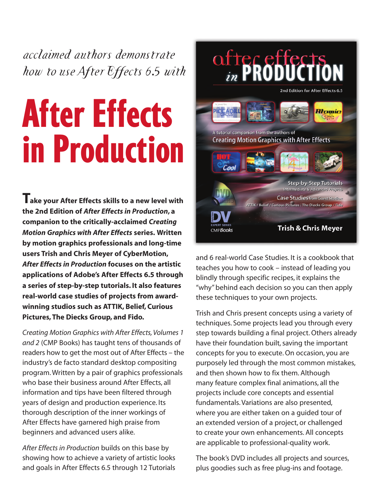*acclaimed authors demonstrate how to use After Effects 6.5 with*

# After Effects in Production

**Take your After Effects skills to a new level with the 2nd Edition of** *After Effects in Production***, a companion to the critically-acclaimed** *Creating Motion Graphics with After Effects* **series. Written by motion graphics professionals and long-time users Trish and Chris Meyer of CyberMotion,** *After Effects in Production* **focuses on the artistic applications of Adobe's After Effects 6.5 through a series of step-by-step tutorials. It also features real-world case studies of projects from awardwinning studios such as ATTIK, Belief, Curious Pictures, The Diecks Group, and Fido.**

*Creating Motion Graphics with After Effects, Volumes 1 and 2* (CMP Books) has taught tens of thousands of readers how to get the most out of After Effects – the industry's de facto standard desktop compositing program. Written by a pair of graphics professionals who base their business around After Effects, all information and tips have been filtered through years of design and production experience. Its thorough description of the inner workings of After Effects have garnered high praise from beginners and advanced users alike.

*After Effects in Production* builds on this base by showing how to achieve a variety of artistic looks and goals in After Effects 6.5 through 12 Tutorials



and 6 real-world Case Studies. It is a cookbook that teaches you how to cook – instead of leading you blindly through specific recipes, it explains the "why" behind each decision so you can then apply these techniques to your own projects.

Trish and Chris present concepts using a variety of techniques. Some projects lead you through every step towards building a final project. Others already have their foundation built, saving the important concepts for you to execute. On occasion, you are purposely led through the most common mistakes, and then shown how to fix them. Although many feature complex final animations, all the projects include core concepts and essential fundamentals. Variations are also presented, where you are either taken on a guided tour of an extended version of a project, or challenged to create your own enhancements. All concepts are applicable to professional-quality work.

The book's DVD includes all projects and sources, plus goodies such as free plug-ins and footage.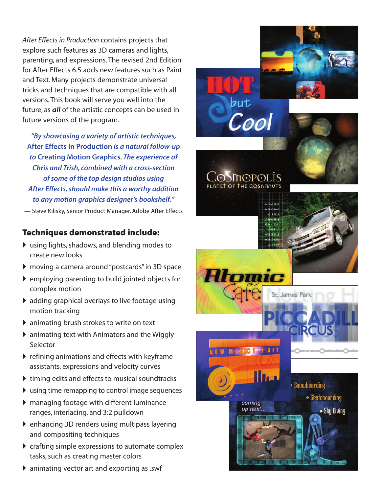*After Effects in Production* contains projects that explore such features as 3D cameras and lights, parenting, and expressions. The revised 2nd Edition for After Effects 6.5 adds new features such as Paint and Text. Many projects demonstrate universal tricks and techniques that are compatible with all versions. This book will serve you well into the future, as *all* of the artistic concepts can be used in future versions of the program.

*"By showcasing a variety of artistic techniques,* **After Effects in Production** *is a natural follow-up to* **Creating Motion Graphics***. The experience of Chris and Trish, combined with a cross-section of some of the top design studios using After Effects, should make this a worthy addition to any motion graphics designer's bookshelf."*

— Steve Kilisky, Senior Product Manager, Adobe After Effects

#### **Techniques demonstrated include:**

- using lights, shadows, and blending modes to create new looks
- moving a camera around "postcards" in 3D space
- $\blacktriangleright$  employing parenting to build jointed objects for complex motion
- adding graphical overlays to live footage using motion tracking
- animating brush strokes to write on text
- animating text with Animators and the Wiggly Selector
- $\blacktriangleright$  refining animations and effects with keyframe assistants, expressions and velocity curves
- $\blacktriangleright$  timing edits and effects to musical soundtracks
- using time remapping to control image sequences
- managing footage with different luminance ranges, interlacing, and 3:2 pulldown
- enhancing 3D renders using multipass layering and compositing techniques
- $\triangleright$  crafting simple expressions to automate complex tasks, such as creating master colors



animating vector art and exporting as .swf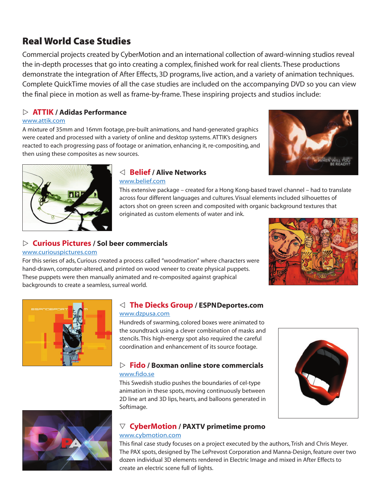### **Real World Case Studies**

Commercial projects created by CyberMotion and an international collection of award-winning studios reveal the in-depth processes that go into creating a complex, finished work for real clients. These productions demonstrate the integration of After Effects, 3D programs, live action, and a variety of animation techniques. Complete QuickTime movies of all the case studies are included on the accompanying DVD so you can view the final piece in motion as well as frame-by-frame. These inspiring projects and studios include:

#### - **ATTIK / Adidas Performance**

#### [www.attik.com](http://www.attik.com)

A mixture of 35mm and 16mm footage, pre-built animations, and hand-generated graphics were ceated and processed with a variety of online and desktop systems. ATTIK's designers reacted to each progressing pass of footage or animation, enhancing it, re-compositing, and then using these composites as new sources.





#### **Belief / Alive Networks**  [www.belief.com](http://www.belief.com)

This extensive package – created for a Hong Kong-based travel channel – had to translate across four different languages and cultures. Visual elements included silhouettes of actors shot on green screen and composited with organic background textures that originated as custom elements of water and ink.

## - **Curious Pictures / Sol beer commercials**

#### [www.curiouspictures.com](http://www.curiouspictures.com)

For this series of ads, Curious created a process called "woodmation" where characters were hand-drawn, computer-altered, and printed on wood veneer to create physical puppets. These puppets were then manually animated and re-composited against graphical backgrounds to create a seamless, surreal world.





#### **The Diecks Group / ESPNDeportes.com** www.dzp[usa.com](http://www.dzpusa.com)

#### Hundreds of swarming, colored boxes were animated to the soundtrack using a clever combination of masks and stencils. This high-energy spot also required the careful coordination and enhancement of its source footage.

#### - **Fido / Boxman online store commercials** [www.fido.se](http://www.fido.se)

This Swedish studio pushes the boundaries of cel-type animation in these spots, moving continuously between 2D line art and 3D lips, hearts, and balloons generated in Softimage.





#### **CyberMotion / PAXTV primetime promo** [www.cybmotion.com](http://www.cybmotion.com)

This final case study focuses on a project executed by the authors, Trish and Chris Meyer. The PAX spots, designed by The LePrevost Corporation and Manna-Design, feature over two dozen individual 3D elements rendered in Electric Image and mixed in After Effects to create an electric scene full of lights.